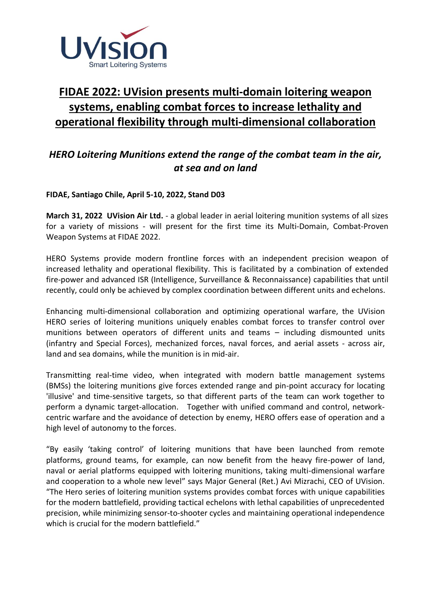

# **FIDAE 2022: UVision presents multi-domain loitering weapon systems, enabling combat forces to increase lethality and operational flexibility through multi-dimensional collaboration**

## *HERO Loitering Munitions extend the range of the combat team in the air, at sea and on land*

**FIDAE, Santiago Chile, April 5-10, 2022, Stand D03**

**March 31, 2022 UVision Air Ltd.** - a global leader in aerial loitering munition systems of all sizes for a variety of missions - will present for the first time its Multi-Domain, Combat-Proven Weapon Systems at FIDAE 2022.

HERO Systems provide modern frontline forces with an independent precision weapon of increased lethality and operational flexibility. This is facilitated by a combination of extended fire-power and advanced ISR (Intelligence, Surveillance & Reconnaissance) capabilities that until recently, could only be achieved by complex coordination between different units and echelons.

Enhancing multi-dimensional collaboration and optimizing operational warfare, the UVision HERO series of loitering munitions uniquely enables combat forces to transfer control over munitions between operators of different units and teams – including dismounted units (infantry and Special Forces), mechanized forces, naval forces, and aerial assets - across air, land and sea domains, while the munition is in mid-air.

Transmitting real-time video, when integrated with modern battle management systems (BMSs) the loitering munitions give forces extended range and pin-point accuracy for locating 'illusive' and time-sensitive targets, so that different parts of the team can work together to perform a dynamic target-allocation. Together with unified command and control, networkcentric warfare and the avoidance of detection by enemy, HERO offers ease of operation and a high level of autonomy to the forces.

"By easily 'taking control' of loitering munitions that have been launched from remote platforms, ground teams, for example, can now benefit from the heavy fire-power of land, naval or aerial platforms equipped with loitering munitions, taking multi-dimensional warfare and cooperation to a whole new level" says Major General (Ret.) Avi Mizrachi, CEO of UVision. "The Hero series of loitering munition systems provides combat forces with unique capabilities for the modern battlefield, providing tactical echelons with lethal capabilities of unprecedented precision, while minimizing sensor-to-shooter cycles and maintaining operational independence which is crucial for the modern battlefield."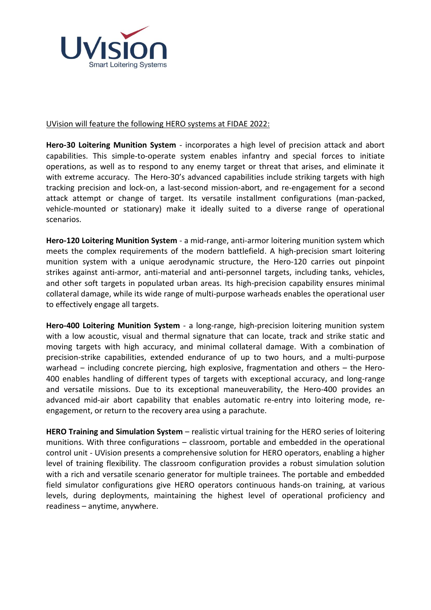

### [UVision](http://www.uvisionuav.com/) will feature the following HERO systems at FIDAE 2022:

**Hero-30 Loitering Munition System** - incorporates a high level of precision attack and abort capabilities. This simple-to-operate system enables infantry and special forces to initiate operations, as well as to respond to any enemy target or threat that arises, and eliminate it with extreme accuracy. The Hero-30's advanced capabilities include striking targets with high tracking precision and lock-on, a last-second mission-abort, and re-engagement for a second attack attempt or change of target. Its versatile installment configurations (man-packed, vehicle-mounted or stationary) make it ideally suited to a diverse range of operational scenarios.

**Hero-120 Loitering Munition System** - a mid-range, anti-armor loitering munition system which meets the complex requirements of the modern battlefield. A high-precision smart loitering munition system with a unique aerodynamic structure, the Hero-120 carries out pinpoint strikes against anti-armor, anti-material and anti-personnel targets, including tanks, vehicles, and other soft targets in populated urban areas. Its high-precision capability ensures minimal collateral damage, while its wide range of multi-purpose warheads enables the operational user to effectively engage all targets.

**Hero-400 Loitering Munition System** - a long-range, high-precision loitering munition system with a low acoustic, visual and thermal signature that can locate, track and strike static and moving targets with high accuracy, and minimal collateral damage. With a combination of precision-strike capabilities, extended endurance of up to two hours, and a multi-purpose warhead  $-$  including concrete piercing, high explosive, fragmentation and others  $-$  the Hero-400 enables handling of different types of targets with exceptional accuracy, and long-range and versatile missions. Due to its exceptional maneuverability, the Hero-400 provides an advanced mid-air abort capability that enables automatic re-entry into loitering mode, reengagement, or return to the recovery area using a parachute.

**HERO Training and Simulation System** – realistic virtual training for the HERO series of loitering munitions. With three configurations – classroom, portable and embedded in the operational control unit - [UVision](http://www.uvisionuav.com/) presents a comprehensive solution for HERO operators, enabling a higher level of training flexibility. The classroom configuration provides a robust simulation solution with a rich and versatile scenario generator for multiple trainees. The portable and embedded field simulator configurations give HERO operators continuous hands-on training, at various levels, during deployments, maintaining the highest level of operational proficiency and readiness – anytime, anywhere.